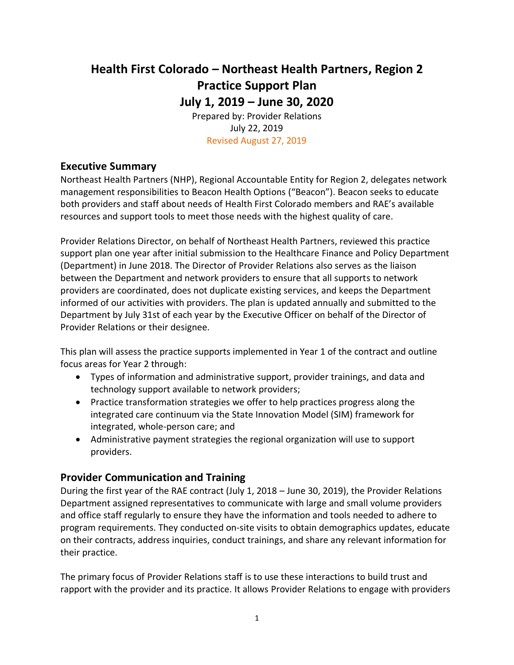# **Health First Colorado – Northeast Health Partners, Region 2 Practice Support Plan July 1, 2019 – June 30, 2020**

Prepared by: Provider Relations July 22, 2019 Revised August 27, 2019

## **Executive Summary**

Northeast Health Partners (NHP), Regional Accountable Entity for Region 2, delegates network management responsibilities to Beacon Health Options ("Beacon"). Beacon seeks to educate both providers and staff about needs of Health First Colorado members and RAE's available resources and support tools to meet those needs with the highest quality of care.

Provider Relations Director, on behalf of Northeast Health Partners, reviewed this practice support plan one year after initial submission to the Healthcare Finance and Policy Department (Department) in June 2018. The Director of Provider Relations also serves as the liaison between the Department and network providers to ensure that all supports to network providers are coordinated, does not duplicate existing services, and keeps the Department informed of our activities with providers. The plan is updated annually and submitted to the Department by July 31st of each year by the Executive Officer on behalf of the Director of Provider Relations or their designee.

This plan will assess the practice supports implemented in Year 1 of the contract and outline focus areas for Year 2 through:

- Types of information and administrative support, provider trainings, and data and technology support available to network providers;
- Practice transformation strategies we offer to help practices progress along the integrated care continuum via the State Innovation Model (SIM) framework for integrated, whole-person care; and
- Administrative payment strategies the regional organization will use to support providers.

## **Provider Communication and Training**

During the first year of the RAE contract (July 1, 2018 – June 30, 2019), the Provider Relations Department assigned representatives to communicate with large and small volume providers and office staff regularly to ensure they have the information and tools needed to adhere to program requirements. They conducted on-site visits to obtain demographics updates, educate on their contracts, address inquiries, conduct trainings, and share any relevant information for their practice.

The primary focus of Provider Relations staff is to use these interactions to build trust and rapport with the provider and its practice. It allows Provider Relations to engage with providers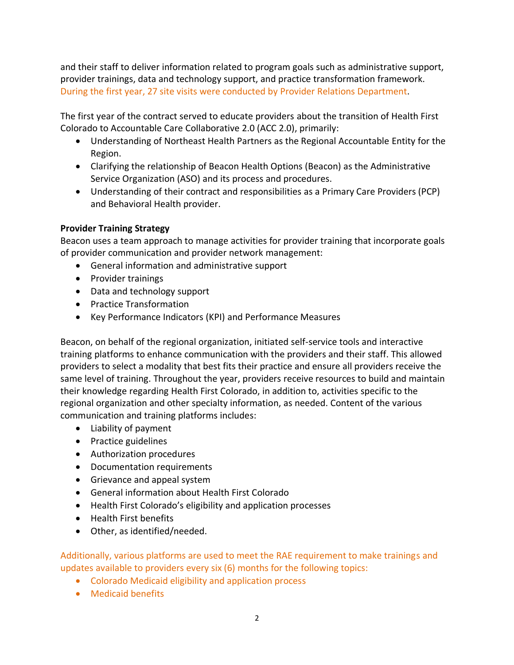and their staff to deliver information related to program goals such as administrative support, provider trainings, data and technology support, and practice transformation framework. During the first year, 27 site visits were conducted by Provider Relations Department.

The first year of the contract served to educate providers about the transition of Health First Colorado to Accountable Care Collaborative 2.0 (ACC 2.0), primarily:

- Understanding of Northeast Health Partners as the Regional Accountable Entity for the Region.
- Clarifying the relationship of Beacon Health Options (Beacon) as the Administrative Service Organization (ASO) and its process and procedures.
- Understanding of their contract and responsibilities as a Primary Care Providers (PCP) and Behavioral Health provider.

## **Provider Training Strategy**

Beacon uses a team approach to manage activities for provider training that incorporate goals of provider communication and provider network management:

- General information and administrative support
- Provider trainings
- Data and technology support
- Practice Transformation
- Key Performance Indicators (KPI) and Performance Measures

Beacon, on behalf of the regional organization, initiated self-service tools and interactive training platforms to enhance communication with the providers and their staff. This allowed providers to select a modality that best fits their practice and ensure all providers receive the same level of training. Throughout the year, providers receive resources to build and maintain their knowledge regarding Health First Colorado, in addition to, activities specific to the regional organization and other specialty information, as needed. Content of the various communication and training platforms includes:

- Liability of payment
- Practice guidelines
- Authorization procedures
- Documentation requirements
- Grievance and appeal system
- General information about Health First Colorado
- Health First Colorado's eligibility and application processes
- Health First benefits
- Other, as identified/needed.

Additionally, various platforms are used to meet the RAE requirement to make trainings and updates available to providers every six (6) months for the following topics:

- Colorado Medicaid eligibility and application process
- Medicaid benefits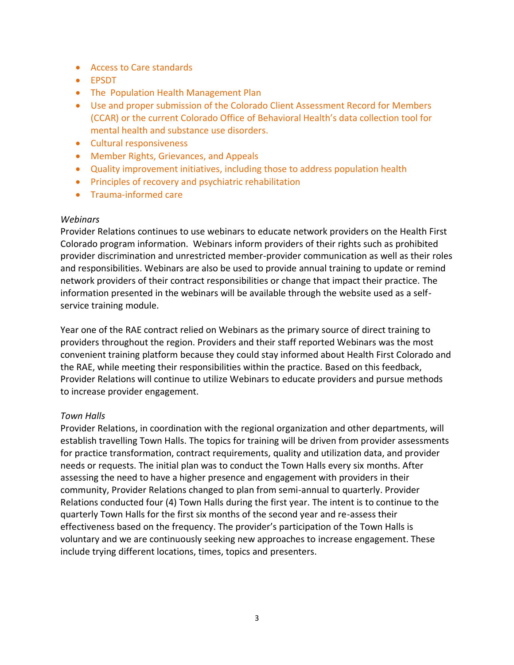- Access to Care standards
- EPSDT
- The Population Health Management Plan
- Use and proper submission of the Colorado Client Assessment Record for Members (CCAR) or the current Colorado Office of Behavioral Health's data collection tool for mental health and substance use disorders.
- Cultural responsiveness
- Member Rights, Grievances, and Appeals
- Quality improvement initiatives, including those to address population health
- Principles of recovery and psychiatric rehabilitation
- Trauma-informed care

#### *Webinars*

Provider Relations continues to use webinars to educate network providers on the Health First Colorado program information. Webinars inform providers of their rights such as prohibited provider discrimination and unrestricted member-provider communication as well as their roles and responsibilities. Webinars are also be used to provide annual training to update or remind network providers of their contract responsibilities or change that impact their practice. The information presented in the webinars will be available through the website used as a selfservice training module.

Year one of the RAE contract relied on Webinars as the primary source of direct training to providers throughout the region. Providers and their staff reported Webinars was the most convenient training platform because they could stay informed about Health First Colorado and the RAE, while meeting their responsibilities within the practice. Based on this feedback, Provider Relations will continue to utilize Webinars to educate providers and pursue methods to increase provider engagement.

#### *Town Halls*

Provider Relations, in coordination with the regional organization and other departments, will establish travelling Town Halls. The topics for training will be driven from provider assessments for practice transformation, contract requirements, quality and utilization data, and provider needs or requests. The initial plan was to conduct the Town Halls every six months. After assessing the need to have a higher presence and engagement with providers in their community, Provider Relations changed to plan from semi-annual to quarterly. Provider Relations conducted four (4) Town Halls during the first year. The intent is to continue to the quarterly Town Halls for the first six months of the second year and re-assess their effectiveness based on the frequency. The provider's participation of the Town Halls is voluntary and we are continuously seeking new approaches to increase engagement. These include trying different locations, times, topics and presenters.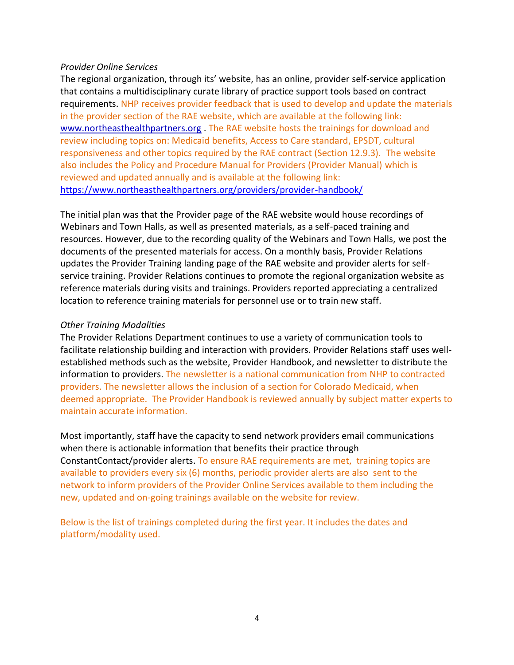#### *Provider Online Services*

The regional organization, through its' website, has an online, provider self-service application that contains a multidisciplinary curate library of practice support tools based on contract requirements. NHP receives provider feedback that is used to develop and update the materials in the provider section of the RAE website, which are available at the following link: [www.northeasthealthpartners.org](http://www.northeasthealthpartners.org/) . The RAE website hosts the trainings for download and review including topics on: Medicaid benefits, Access to Care standard, EPSDT, cultural responsiveness and other topics required by the RAE contract (Section 12.9.3). The website also includes the Policy and Procedure Manual for Providers (Provider Manual) which is reviewed and updated annually and is available at the following link: <https://www.northeasthealthpartners.org/providers/provider-handbook/>

The initial plan was that the Provider page of the RAE website would house recordings of Webinars and Town Halls, as well as presented materials, as a self-paced training and resources. However, due to the recording quality of the Webinars and Town Halls, we post the documents of the presented materials for access. On a monthly basis, Provider Relations updates the Provider Training landing page of the RAE website and provider alerts for selfservice training. Provider Relations continues to promote the regional organization website as reference materials during visits and trainings. Providers reported appreciating a centralized location to reference training materials for personnel use or to train new staff.

#### *Other Training Modalities*

The Provider Relations Department continues to use a variety of communication tools to facilitate relationship building and interaction with providers. Provider Relations staff uses wellestablished methods such as the website, Provider Handbook, and newsletter to distribute the information to providers. The newsletter is a national communication from NHP to contracted providers. The newsletter allows the inclusion of a section for Colorado Medicaid, when deemed appropriate. The Provider Handbook is reviewed annually by subject matter experts to maintain accurate information.

Most importantly, staff have the capacity to send network providers email communications when there is actionable information that benefits their practice through ConstantContact/provider alerts. To ensure RAE requirements are met, training topics are available to providers every six (6) months, periodic provider alerts are also sent to the network to inform providers of the Provider Online Services available to them including the new, updated and on-going trainings available on the website for review.

Below is the list of trainings completed during the first year. It includes the dates and platform/modality used.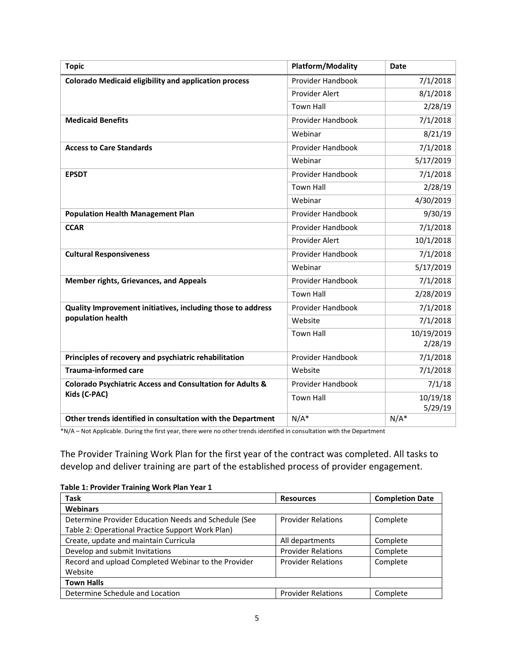| <b>Topic</b>                                                 | <b>Platform/Modality</b> | <b>Date</b> |
|--------------------------------------------------------------|--------------------------|-------------|
| <b>Colorado Medicaid eligibility and application process</b> | Provider Handbook        | 7/1/2018    |
|                                                              | Provider Alert           | 8/1/2018    |
|                                                              | <b>Town Hall</b>         | 2/28/19     |
| <b>Medicaid Benefits</b>                                     | Provider Handbook        | 7/1/2018    |
|                                                              | Webinar                  | 8/21/19     |
| <b>Access to Care Standards</b>                              | Provider Handbook        | 7/1/2018    |
|                                                              | Webinar                  | 5/17/2019   |
| <b>EPSDT</b>                                                 | Provider Handbook        | 7/1/2018    |
|                                                              | <b>Town Hall</b>         | 2/28/19     |
|                                                              | Webinar                  | 4/30/2019   |
| <b>Population Health Management Plan</b>                     | Provider Handbook        | 9/30/19     |
| <b>CCAR</b>                                                  | Provider Handbook        | 7/1/2018    |
|                                                              | Provider Alert           | 10/1/2018   |
| <b>Cultural Responsiveness</b>                               | Provider Handbook        | 7/1/2018    |
|                                                              | Webinar                  | 5/17/2019   |
| <b>Member rights, Grievances, and Appeals</b>                | Provider Handbook        | 7/1/2018    |
|                                                              | <b>Town Hall</b>         | 2/28/2019   |
| Quality Improvement initiatives, including those to address  | Provider Handbook        | 7/1/2018    |
| population health                                            | Website                  | 7/1/2018    |
|                                                              | <b>Town Hall</b>         | 10/19/2019  |
|                                                              |                          | 2/28/19     |
| Principles of recovery and psychiatric rehabilitation        | Provider Handbook        | 7/1/2018    |
| <b>Trauma-informed care</b>                                  | Website                  | 7/1/2018    |
| Colorado Psychiatric Access and Consultation for Adults &    | Provider Handbook        | 7/1/18      |
| Kids (C-PAC)                                                 | <b>Town Hall</b>         | 10/19/18    |
|                                                              |                          | 5/29/19     |
| Other trends identified in consultation with the Department  | $N/A^*$                  | $N/A^*$     |

\*N/A – Not Applicable. During the first year, there were no other trends identified in consultation with the Department

The Provider Training Work Plan for the first year of the contract was completed. All tasks to develop and deliver training are part of the established process of provider engagement.

| Table 1. Flovider Halling Work Flan Tear 1           |                           |                        |
|------------------------------------------------------|---------------------------|------------------------|
| <b>Task</b>                                          | <b>Resources</b>          | <b>Completion Date</b> |
| <b>Webinars</b>                                      |                           |                        |
| Determine Provider Education Needs and Schedule (See | <b>Provider Relations</b> | Complete               |
| Table 2: Operational Practice Support Work Plan)     |                           |                        |
| Create, update and maintain Curricula                | All departments           | Complete               |
| Develop and submit Invitations                       | <b>Provider Relations</b> | Complete               |
| Record and upload Completed Webinar to the Provider  | <b>Provider Relations</b> | Complete               |
| Website                                              |                           |                        |
| <b>Town Halls</b>                                    |                           |                        |
| Determine Schedule and Location                      | <b>Provider Relations</b> | Complete               |

#### **Table 1: Provider Training Work Plan Year 1**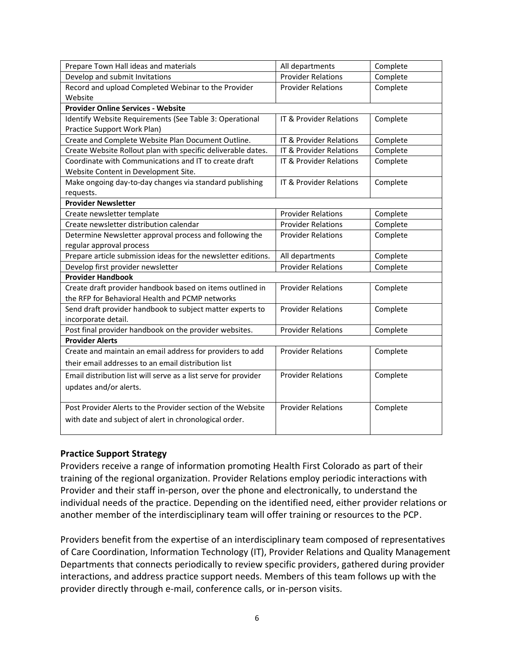| Prepare Town Hall ideas and materials                           | All departments                    | Complete |
|-----------------------------------------------------------------|------------------------------------|----------|
| Develop and submit Invitations                                  | <b>Provider Relations</b>          | Complete |
| Record and upload Completed Webinar to the Provider             | <b>Provider Relations</b>          | Complete |
| Website                                                         |                                    |          |
| <b>Provider Online Services - Website</b>                       |                                    |          |
| Identify Website Requirements (See Table 3: Operational         | IT & Provider Relations            | Complete |
| Practice Support Work Plan)                                     |                                    |          |
| Create and Complete Website Plan Document Outline.              | <b>IT &amp; Provider Relations</b> | Complete |
| Create Website Rollout plan with specific deliverable dates.    | IT & Provider Relations            | Complete |
| Coordinate with Communications and IT to create draft           | IT & Provider Relations            | Complete |
| Website Content in Development Site.                            |                                    |          |
| Make ongoing day-to-day changes via standard publishing         | IT & Provider Relations            | Complete |
| requests.                                                       |                                    |          |
| <b>Provider Newsletter</b>                                      |                                    |          |
| Create newsletter template                                      | <b>Provider Relations</b>          | Complete |
| Create newsletter distribution calendar                         | <b>Provider Relations</b>          | Complete |
| Determine Newsletter approval process and following the         | <b>Provider Relations</b>          | Complete |
| regular approval process                                        |                                    |          |
| Prepare article submission ideas for the newsletter editions.   | All departments                    | Complete |
| Develop first provider newsletter                               | <b>Provider Relations</b>          | Complete |
| <b>Provider Handbook</b>                                        |                                    |          |
| Create draft provider handbook based on items outlined in       | <b>Provider Relations</b>          | Complete |
| the RFP for Behavioral Health and PCMP networks                 |                                    |          |
| Send draft provider handbook to subject matter experts to       | <b>Provider Relations</b>          | Complete |
| incorporate detail.                                             |                                    |          |
| Post final provider handbook on the provider websites.          | <b>Provider Relations</b>          | Complete |
| <b>Provider Alerts</b>                                          |                                    |          |
| Create and maintain an email address for providers to add       | <b>Provider Relations</b>          | Complete |
| their email addresses to an email distribution list             |                                    |          |
| Email distribution list will serve as a list serve for provider | <b>Provider Relations</b>          | Complete |
| updates and/or alerts.                                          |                                    |          |
|                                                                 |                                    |          |
| Post Provider Alerts to the Provider section of the Website     | <b>Provider Relations</b>          | Complete |
| with date and subject of alert in chronological order.          |                                    |          |
|                                                                 |                                    |          |

#### **Practice Support Strategy**

Providers receive a range of information promoting Health First Colorado as part of their training of the regional organization. Provider Relations employ periodic interactions with Provider and their staff in-person, over the phone and electronically, to understand the individual needs of the practice. Depending on the identified need, either provider relations or another member of the interdisciplinary team will offer training or resources to the PCP.

Providers benefit from the expertise of an interdisciplinary team composed of representatives of Care Coordination, Information Technology (IT), Provider Relations and Quality Management Departments that connects periodically to review specific providers, gathered during provider interactions, and address practice support needs. Members of this team follows up with the provider directly through e-mail, conference calls, or in-person visits.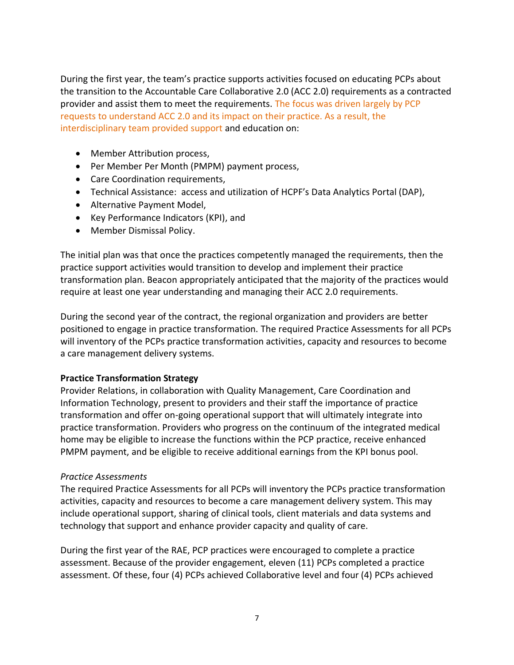During the first year, the team's practice supports activities focused on educating PCPs about the transition to the Accountable Care Collaborative 2.0 (ACC 2.0) requirements as a contracted provider and assist them to meet the requirements. The focus was driven largely by PCP requests to understand ACC 2.0 and its impact on their practice. As a result, the interdisciplinary team provided support and education on:

- Member Attribution process,
- Per Member Per Month (PMPM) payment process,
- Care Coordination requirements,
- Technical Assistance: access and utilization of HCPF's Data Analytics Portal (DAP),
- Alternative Payment Model,
- Key Performance Indicators (KPI), and
- Member Dismissal Policy.

The initial plan was that once the practices competently managed the requirements, then the practice support activities would transition to develop and implement their practice transformation plan. Beacon appropriately anticipated that the majority of the practices would require at least one year understanding and managing their ACC 2.0 requirements.

During the second year of the contract, the regional organization and providers are better positioned to engage in practice transformation. The required Practice Assessments for all PCPs will inventory of the PCPs practice transformation activities, capacity and resources to become a care management delivery systems.

## **Practice Transformation Strategy**

Provider Relations, in collaboration with Quality Management, Care Coordination and Information Technology, present to providers and their staff the importance of practice transformation and offer on-going operational support that will ultimately integrate into practice transformation. Providers who progress on the continuum of the integrated medical home may be eligible to increase the functions within the PCP practice, receive enhanced PMPM payment, and be eligible to receive additional earnings from the KPI bonus pool.

## *Practice Assessments*

The required Practice Assessments for all PCPs will inventory the PCPs practice transformation activities, capacity and resources to become a care management delivery system. This may include operational support, sharing of clinical tools, client materials and data systems and technology that support and enhance provider capacity and quality of care.

During the first year of the RAE, PCP practices were encouraged to complete a practice assessment. Because of the provider engagement, eleven (11) PCPs completed a practice assessment. Of these, four (4) PCPs achieved Collaborative level and four (4) PCPs achieved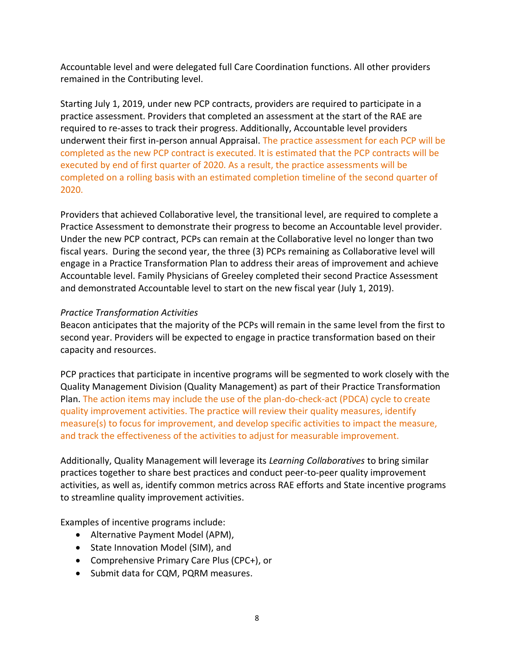Accountable level and were delegated full Care Coordination functions. All other providers remained in the Contributing level.

Starting July 1, 2019, under new PCP contracts, providers are required to participate in a practice assessment. Providers that completed an assessment at the start of the RAE are required to re-asses to track their progress. Additionally, Accountable level providers underwent their first in-person annual Appraisal. The practice assessment for each PCP will be completed as the new PCP contract is executed. It is estimated that the PCP contracts will be executed by end of first quarter of 2020. As a result, the practice assessments will be completed on a rolling basis with an estimated completion timeline of the second quarter of 2020.

Providers that achieved Collaborative level, the transitional level, are required to complete a Practice Assessment to demonstrate their progress to become an Accountable level provider. Under the new PCP contract, PCPs can remain at the Collaborative level no longer than two fiscal years. During the second year, the three (3) PCPs remaining as Collaborative level will engage in a Practice Transformation Plan to address their areas of improvement and achieve Accountable level. Family Physicians of Greeley completed their second Practice Assessment and demonstrated Accountable level to start on the new fiscal year (July 1, 2019).

#### *Practice Transformation Activities*

Beacon anticipates that the majority of the PCPs will remain in the same level from the first to second year. Providers will be expected to engage in practice transformation based on their capacity and resources.

PCP practices that participate in incentive programs will be segmented to work closely with the Quality Management Division (Quality Management) as part of their Practice Transformation Plan. The action items may include the use of the plan-do-check-act (PDCA) cycle to create quality improvement activities. The practice will review their quality measures, identify measure(s) to focus for improvement, and develop specific activities to impact the measure, and track the effectiveness of the activities to adjust for measurable improvement.

Additionally, Quality Management will leverage its *Learning Collaboratives* to bring similar practices together to share best practices and conduct peer-to-peer quality improvement activities, as well as, identify common metrics across RAE efforts and State incentive programs to streamline quality improvement activities.

Examples of incentive programs include:

- Alternative Payment Model (APM),
- State Innovation Model (SIM), and
- Comprehensive Primary Care Plus (CPC+), or
- Submit data for CQM, PQRM measures.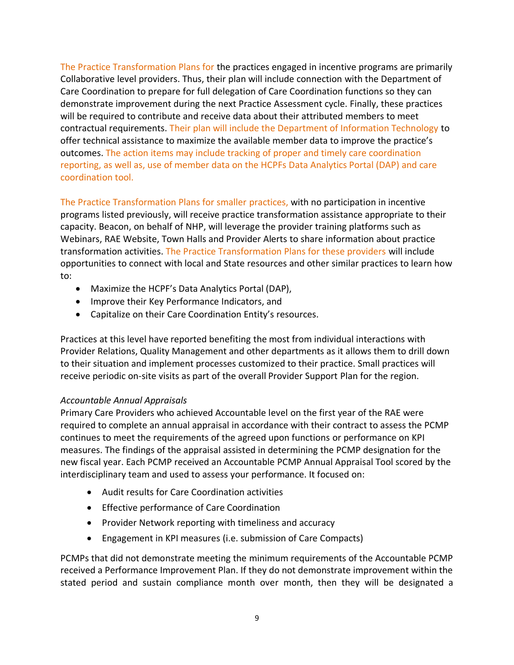The Practice Transformation Plans for the practices engaged in incentive programs are primarily Collaborative level providers. Thus, their plan will include connection with the Department of Care Coordination to prepare for full delegation of Care Coordination functions so they can demonstrate improvement during the next Practice Assessment cycle. Finally, these practices will be required to contribute and receive data about their attributed members to meet contractual requirements. Their plan will include the Department of Information Technology to offer technical assistance to maximize the available member data to improve the practice's outcomes. The action items may include tracking of proper and timely care coordination reporting, as well as, use of member data on the HCPFs Data Analytics Portal (DAP) and care coordination tool.

The Practice Transformation Plans for smaller practices, with no participation in incentive programs listed previously, will receive practice transformation assistance appropriate to their capacity. Beacon, on behalf of NHP, will leverage the provider training platforms such as Webinars, RAE Website, Town Halls and Provider Alerts to share information about practice transformation activities. The Practice Transformation Plans for these providers will include opportunities to connect with local and State resources and other similar practices to learn how to:

- Maximize the HCPF's Data Analytics Portal (DAP),
- Improve their Key Performance Indicators, and
- Capitalize on their Care Coordination Entity's resources.

Practices at this level have reported benefiting the most from individual interactions with Provider Relations, Quality Management and other departments as it allows them to drill down to their situation and implement processes customized to their practice. Small practices will receive periodic on-site visits as part of the overall Provider Support Plan for the region.

## *Accountable Annual Appraisals*

Primary Care Providers who achieved Accountable level on the first year of the RAE were required to complete an annual appraisal in accordance with their contract to assess the PCMP continues to meet the requirements of the agreed upon functions or performance on KPI measures. The findings of the appraisal assisted in determining the PCMP designation for the new fiscal year. Each PCMP received an Accountable PCMP Annual Appraisal Tool scored by the interdisciplinary team and used to assess your performance. It focused on:

- Audit results for Care Coordination activities
- Effective performance of Care Coordination
- Provider Network reporting with timeliness and accuracy
- Engagement in KPI measures (i.e. submission of Care Compacts)

PCMPs that did not demonstrate meeting the minimum requirements of the Accountable PCMP received a Performance Improvement Plan. If they do not demonstrate improvement within the stated period and sustain compliance month over month, then they will be designated a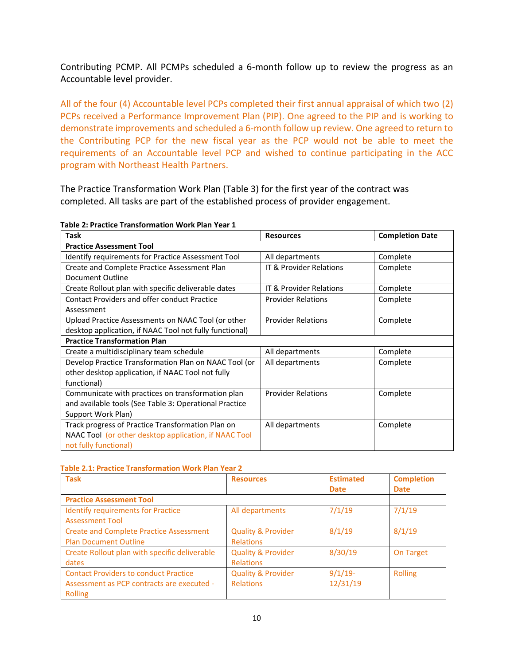Contributing PCMP. All PCMPs scheduled a 6-month follow up to review the progress as an Accountable level provider.

All of the four (4) Accountable level PCPs completed their first annual appraisal of which two (2) PCPs received a Performance Improvement Plan (PIP). One agreed to the PIP and is working to demonstrate improvements and scheduled a 6-month follow up review. One agreed to return to the Contributing PCP for the new fiscal year as the PCP would not be able to meet the requirements of an Accountable level PCP and wished to continue participating in the ACC program with Northeast Health Partners.

The Practice Transformation Work Plan (Table 3) for the first year of the contract was completed. All tasks are part of the established process of provider engagement.

| <b>Task</b>                                             | <b>Resources</b>          | <b>Completion Date</b> |  |
|---------------------------------------------------------|---------------------------|------------------------|--|
| <b>Practice Assessment Tool</b>                         |                           |                        |  |
| Identify requirements for Practice Assessment Tool      | All departments           | Complete               |  |
| Create and Complete Practice Assessment Plan            | IT & Provider Relations   | Complete               |  |
| Document Outline                                        |                           |                        |  |
| Create Rollout plan with specific deliverable dates     | IT & Provider Relations   | Complete               |  |
| <b>Contact Providers and offer conduct Practice</b>     | <b>Provider Relations</b> | Complete               |  |
| Assessment                                              |                           |                        |  |
| Upload Practice Assessments on NAAC Tool (or other      | <b>Provider Relations</b> | Complete               |  |
| desktop application, if NAAC Tool not fully functional) |                           |                        |  |
| <b>Practice Transformation Plan</b>                     |                           |                        |  |
| Create a multidisciplinary team schedule                | All departments           | Complete               |  |
| Develop Practice Transformation Plan on NAAC Tool (or   | All departments           | Complete               |  |
| other desktop application, if NAAC Tool not fully       |                           |                        |  |
| functional)                                             |                           |                        |  |
| Communicate with practices on transformation plan       | <b>Provider Relations</b> | Complete               |  |
| and available tools (See Table 3: Operational Practice  |                           |                        |  |
| Support Work Plan)                                      |                           |                        |  |
| Track progress of Practice Transformation Plan on       | All departments           | Complete               |  |
| NAAC Tool (or other desktop application, if NAAC Tool   |                           |                        |  |
| not fully functional)                                   |                           |                        |  |

#### **Table 2.1: Practice Transformation Work Plan Year 2**

| <b>Task</b>                                                                                           | <b>Resources</b>                                  | <b>Estimated</b><br><b>Date</b> | <b>Completion</b><br><b>Date</b> |
|-------------------------------------------------------------------------------------------------------|---------------------------------------------------|---------------------------------|----------------------------------|
| <b>Practice Assessment Tool</b>                                                                       |                                                   |                                 |                                  |
| <b>Identify requirements for Practice</b><br><b>Assessment Tool</b>                                   | All departments                                   | 7/1/19                          | 7/1/19                           |
| <b>Create and Complete Practice Assessment</b><br><b>Plan Document Outline</b>                        | <b>Quality &amp; Provider</b><br><b>Relations</b> | 8/1/19                          | 8/1/19                           |
| Create Rollout plan with specific deliverable<br>dates                                                | <b>Quality &amp; Provider</b><br><b>Relations</b> | 8/30/19                         | On Target                        |
| <b>Contact Providers to conduct Practice</b><br>Assessment as PCP contracts are executed -<br>Rolling | <b>Quality &amp; Provider</b><br><b>Relations</b> | $9/1/19$ -<br>12/31/19          | <b>Rolling</b>                   |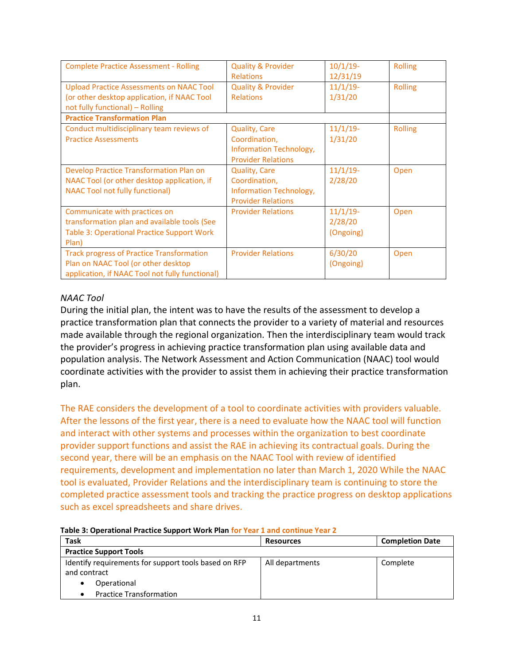| <b>Complete Practice Assessment - Rolling</b>                                                                                              | <b>Quality &amp; Provider</b><br><b>Relations</b>                                             | $10/1/19$ -<br>12/31/19             | <b>Rolling</b> |
|--------------------------------------------------------------------------------------------------------------------------------------------|-----------------------------------------------------------------------------------------------|-------------------------------------|----------------|
| <b>Upload Practice Assessments on NAAC Tool</b><br>(or other desktop application, if NAAC Tool<br>not fully functional) - Rolling          | <b>Quality &amp; Provider</b><br><b>Relations</b>                                             | $11/1/19$ -<br>1/31/20              | <b>Rolling</b> |
| <b>Practice Transformation Plan</b>                                                                                                        |                                                                                               |                                     |                |
| Conduct multidisciplinary team reviews of<br><b>Practice Assessments</b>                                                                   | <b>Quality, Care</b><br>Coordination,<br>Information Technology,<br><b>Provider Relations</b> | $11/1/19$ -<br>1/31/20              | <b>Rolling</b> |
| Develop Practice Transformation Plan on<br>NAAC Tool (or other desktop application, if<br><b>NAAC Tool not fully functional)</b>           | <b>Quality, Care</b><br>Coordination,<br>Information Technology,<br><b>Provider Relations</b> | $11/1/19$ -<br>2/28/20              | Open           |
| Communicate with practices on<br>transformation plan and available tools (See<br>Table 3: Operational Practice Support Work<br>Plan)       | <b>Provider Relations</b>                                                                     | $11/1/19$ -<br>2/28/20<br>(Ongoing) | Open           |
| <b>Track progress of Practice Transformation</b><br>Plan on NAAC Tool (or other desktop<br>application, if NAAC Tool not fully functional) | <b>Provider Relations</b>                                                                     | 6/30/20<br>(Ongoing)                | Open           |

#### *NAAC Tool*

During the initial plan, the intent was to have the results of the assessment to develop a practice transformation plan that connects the provider to a variety of material and resources made available through the regional organization. Then the interdisciplinary team would track the provider's progress in achieving practice transformation plan using available data and population analysis. The Network Assessment and Action Communication (NAAC) tool would coordinate activities with the provider to assist them in achieving their practice transformation plan.

The RAE considers the development of a tool to coordinate activities with providers valuable. After the lessons of the first year, there is a need to evaluate how the NAAC tool will function and interact with other systems and processes within the organization to best coordinate provider support functions and assist the RAE in achieving its contractual goals. During the second year, there will be an emphasis on the NAAC Tool with review of identified requirements, development and implementation no later than March 1, 2020 While the NAAC tool is evaluated, Provider Relations and the interdisciplinary team is continuing to store the completed practice assessment tools and tracking the practice progress on desktop applications such as excel spreadsheets and share drives.

| rapic 3. Operational Fractice Support Work Flam for Team 1 and continue Team 2 |                  |                        |  |
|--------------------------------------------------------------------------------|------------------|------------------------|--|
| <b>Task</b>                                                                    | <b>Resources</b> | <b>Completion Date</b> |  |
| <b>Practice Support Tools</b>                                                  |                  |                        |  |
| Identify requirements for support tools based on RFP<br>and contract           | All departments  | Complete               |  |
| Operational<br>$\bullet$                                                       |                  |                        |  |
| <b>Practice Transformation</b>                                                 |                  |                        |  |

#### **Table 3: Operational Practice Support Work Plan for Year 1 and continue Year 2**